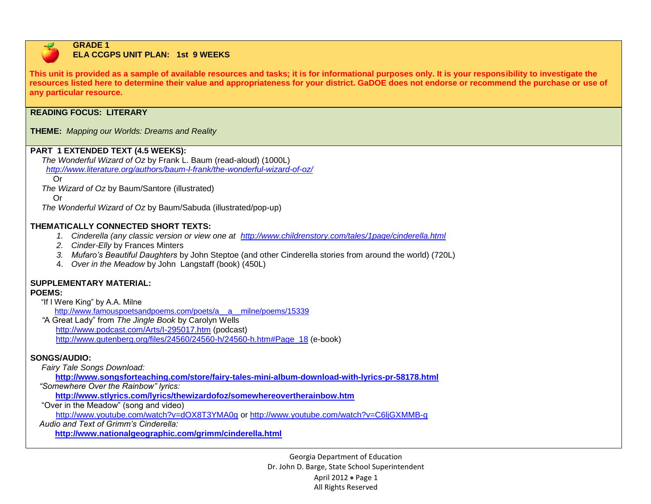

#### **GRADE 1 ELA CCGPS UNIT PLAN: 1st 9 WEEKS**

**This unit is provided as a sample of available resources and tasks; it is for informational purposes only. It is your responsibility to investigate the resources listed here to determine their value and appropriateness for your district. GaDOE does not endorse or recommend the purchase or use of any particular resource.**

### **READING FOCUS: LITERARY**

### **THEME:** *Mapping our Worlds: Dreams and Reality*

### **PART 1 EXTENDED TEXT (4.5 WEEKS):**

 *The Wonderful Wizard of Oz* by Frank L. Baum (read-aloud) (1000L) *<http://www.literature.org/authors/baum-l-frank/the-wonderful-wizard-of-oz/>*

Or

*The Wizard of Oz* by Baum/Santore (illustrated)

Or

*The Wonderful Wizard of Oz* by Baum/Sabuda (illustrated/pop-up)

### **THEMATICALLY CONNECTED SHORT TEXTS:**

- *1. Cinderella (any classic version or view one at <http://www.childrenstory.com/tales/1page/cinderella.html>*
- *2. Cinder-Elly* by Frances Minters
- *3. Mufaro's Beautiful Daughters* by John Steptoe (and other Cinderella stories from around the world) (720L)
- 4. *Over in the Meadow* by John Langstaff (book) (450L)

# **SUPPLEMENTARY MATERIAL:**

### **POEMS:**

"If I Were King" by A.A. Milne

http://www.famouspoetsandpoems.com/poets/a\_a\_milne/poems/15339

 *"*A Great Lady" from *The Jingle Book* by Carolyn Wells <http://www.podcast.com/Arts/I-295017.htm> (podcast) [http://www.gutenberg.org/files/24560/24560-h/24560-h.htm#Page\\_18](http://www.gutenberg.org/files/24560/24560-h/24560-h.htm#Page_18) (e-book)

## **SONGS/AUDIO:**

 *Fairy Tale Songs Download:*

 **<http://www.songsforteaching.com/store/fairy-tales-mini-album-download-with-lyrics-pr-58178.html>**

 *"Somewhere Over the Rainbow" lyrics:* 

**http://www.stlyrics.com/lyrics/thewizardofoz/somewhereovertherainbow.htm**

"Over in the Meadow" (song and video)

<http://www.youtube.com/watch?v=dOX8T3YMA0g> or<http://www.youtube.com/watch?v=C6ljGXMMB-g>

 *Audio and Text of Grimm's Cinderella:* 

**<http://www.nationalgeographic.com/grimm/cinderella.html>**

Georgia Department of Education Dr. John D. Barge, State School Superintendent April 2012  $\bullet$  Page 1 All Rights Reserved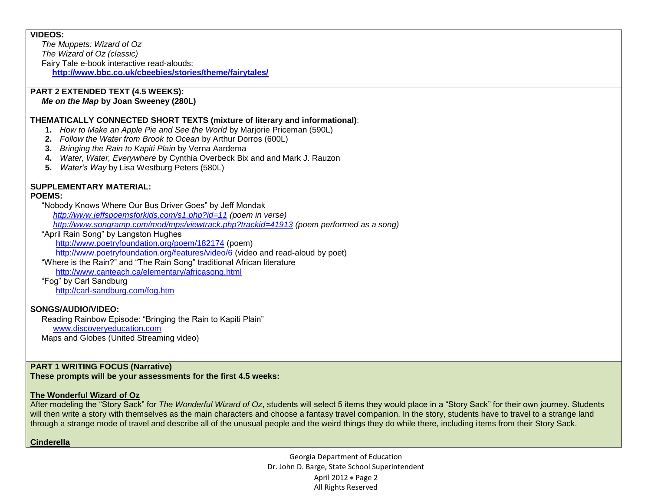### **VIDEOS:**

*The Muppets: Wizard of Oz The Wizard of Oz (classic)* Fairy Tale e-book interactive read-alouds: **<http://www.bbc.co.uk/cbeebies/stories/theme/fairytales/>**

### **PART 2 EXTENDED TEXT (4.5 WEEKS):**

### *Me on the Map* **by Joan Sweeney (280L)**

#### **THEMATICALLY CONNECTED SHORT TEXTS (mixture of literary and informational)**:

- **1.** *How to Make an Apple Pie and See the World* by Marjorie Priceman (590L)
- **2.** *Follow the Water from Brook to Ocean* by Arthur Dorros (600L)
- **3.** *Bringing the Rain to Kapiti Plain* by Verna Aardema
- **4.** *Water, Water, Everywhere* by Cynthia Overbeck Bix and and Mark J. Rauzon
- **5.** *Water's Way* by Lisa Westburg Peters (580L)

# **SUPPLEMENTARY MATERIAL:**

#### **POEMS:**

 "Nobody Knows Where Our Bus Driver Goes" by Jeff Mondak  *<http://www.jeffspoemsforkids.com/s1.php?id=11> (poem in verse) <http://www.songramp.com/mod/mps/viewtrack.php?trackid=41913> (poem performed as a song)*

## "April Rain Song" by Langston Hughes

<http://www.poetryfoundation.org/poem/182174> (poem)

<http://www.poetryfoundation.org/features/video/6> (video and read-aloud by poet)

"Where is the Rain?" and "The Rain Song" traditional African literature

<http://www.canteach.ca/elementary/africasong.html>

"Fog" by Carl Sandburg

<http://carl-sandburg.com/fog.htm>

### **SONGS/AUDIO/VIDEO:**

 Reading Rainbow Episode: "Bringing the Rain to Kapiti Plain" [www.discoveryeducation.com](http://www.discoveryeducation.com/) Maps and Globes (United Streaming video)

## **PART 1 WRITING FOCUS (Narrative)**

**These prompts will be your assessments for the first 4.5 weeks:**

### **The Wonderful Wizard of Oz**

After modeling the "Story Sack" for *The Wonderful Wizard of Oz*, students will select 5 items they would place in a "Story Sack" for their own journey. Students will then write a story with themselves as the main characters and choose a fantasy travel companion. In the story, students have to travel to a strange land through a strange mode of travel and describe all of the unusual people and the weird things they do while there, including items from their Story Sack.

### **Cinderella**

Georgia Department of Education Dr. John D. Barge, State School Superintendent April 2012 . Page 2 All Rights Reserved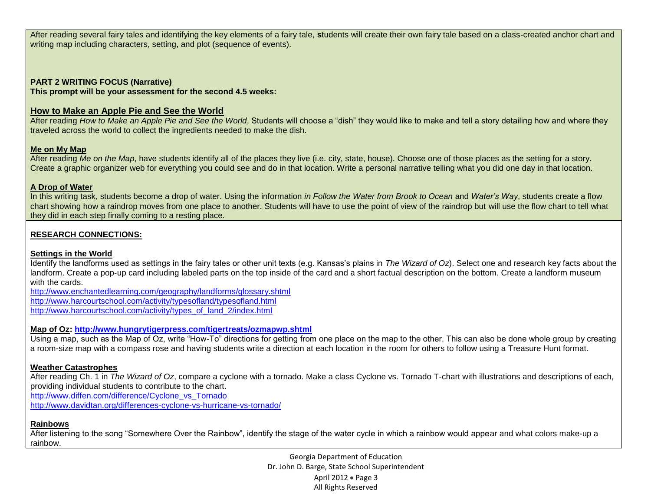After reading several fairy tales and identifying the key elements of a fairy tale, **s**tudents will create their own fairy tale based on a class-created anchor chart and writing map including characters, setting, and plot (sequence of events).

### **PART 2 WRITING FOCUS (Narrative)**

**This prompt will be your assessment for the second 4.5 weeks:**

### **How to Make an Apple Pie and See the World**

After reading *How to Make an Apple Pie and See the World*, Students will choose a "dish" they would like to make and tell a story detailing how and where they traveled across the world to collect the ingredients needed to make the dish.

### **Me on My Map**

After reading Me on the Map, have students identify all of the places they live (i.e. city, state, house). Choose one of those places as the setting for a story. Create a graphic organizer web for everything you could see and do in that location. Write a personal narrative telling what you did one day in that location.

### **A Drop of Water**

In this writing task, students become a drop of water. Using the information *in Follow the Water from Brook to Ocean* and *Water's Way*, students create a flow chart showing how a raindrop moves from one place to another. Students will have to use the point of view of the raindrop but will use the flow chart to tell what they did in each step finally coming to a resting place.

## **RESEARCH CONNECTIONS:**

### **Settings in the World**

Identify the landforms used as settings in the fairy tales or other unit texts (e.g. Kansas's plains in *The Wizard of Oz*). Select one and research key facts about the landform. Create a pop-up card including labeled parts on the top inside of the card and a short factual description on the bottom. Create a landform museum with the cards.

<http://www.enchantedlearning.com/geography/landforms/glossary.shtml> <http://www.harcourtschool.com/activity/typesofland/typesofland.html> [http://www.harcourtschool.com/activity/types\\_of\\_land\\_2/index.html](http://www.harcourtschool.com/activity/types_of_land_2/index.html)

### **Map of Oz:<http://www.hungrytigerpress.com/tigertreats/ozmapwp.shtml>**

Using a map, such as the Map of Oz, write "How-To" directions for getting from one place on the map to the other. This can also be done whole group by creating a room-size map with a compass rose and having students write a direction at each location in the room for others to follow using a Treasure Hunt format.

### **Weather Catastrophes**

After reading Ch. 1 in *The Wizard of Oz*, compare a cyclone with a tornado. Make a class Cyclone vs. Tornado T-chart with illustrations and descriptions of each, providing individual students to contribute to the chart. [http://www.diffen.com/difference/Cyclone\\_vs\\_Tornado](http://www.diffen.com/difference/Cyclone_vs_Tornado)

<http://www.davidtan.org/differences-cyclone-vs-hurricane-vs-tornado/>

### **Rainbows**

After listening to the song "Somewhere Over the Rainbow", identify the stage of the water cycle in which a rainbow would appear and what colors make-up a rainbow.

> Georgia Department of Education Dr. John D. Barge, State School Superintendent April 2012 • Page 3 All Rights Reserved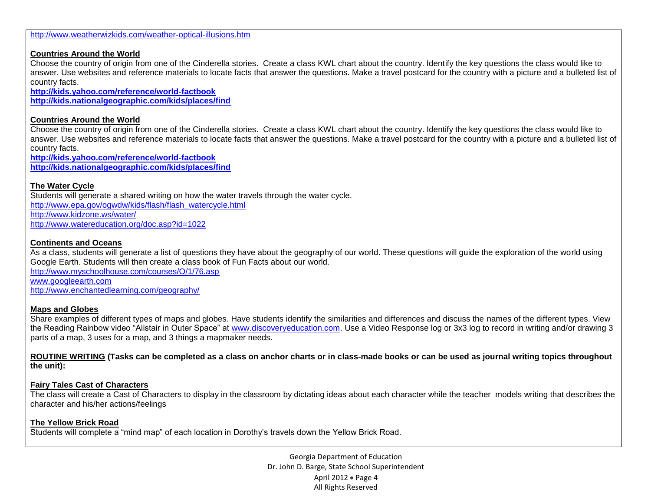## **Countries Around the World**

Choose the country of origin from one of the Cinderella stories. Create a class KWL chart about the country. Identify the key questions the class would like to answer. Use websites and reference materials to locate facts that answer the questions. Make a travel postcard for the country with a picture and a bulleted list of country facts.

**<http://kids.yahoo.com/reference/world-factbook> <http://kids.nationalgeographic.com/kids/places/find>**

## **Countries Around the World**

Choose the country of origin from one of the Cinderella stories. Create a class KWL chart about the country. Identify the key questions the class would like to answer. Use websites and reference materials to locate facts that answer the questions. Make a travel postcard for the country with a picture and a bulleted list of country facts.

**<http://kids.yahoo.com/reference/world-factbook> <http://kids.nationalgeographic.com/kids/places/find>**

## **The Water Cycle**

Students will generate a shared writing on how the water travels through the water cycle. [http://www.epa.gov/ogwdw/kids/flash/flash\\_watercycle.html](http://www.epa.gov/ogwdw/kids/flash/flash_watercycle.html) <http://www.kidzone.ws/water/> <http://www.watereducation.org/doc.asp?id=1022>

### **Continents and Oceans**

As a class, students will generate a list of questions they have about the geography of our world. These questions will guide the exploration of the world using Google Earth. Students will then create a class book of Fun Facts about our world. <http://www.myschoolhouse.com/courses/O/1/76.asp> [www.googleearth.com](http://www.googleearth.com/) <http://www.enchantedlearning.com/geography/>

### **Maps and Globes**

Share examples of different types of maps and globes. Have students identify the similarities and differences and discuss the names of the different types. View the Reading Rainbow video "Alistair in Outer Space" at [www.discoveryeducation.com.](http://www.discoveryeducation.com/) Use a Video Response log or 3x3 log to record in writing and/or drawing 3 parts of a map, 3 uses for a map, and 3 things a mapmaker needs.

**ROUTINE WRITING (Tasks can be completed as a class on anchor charts or in class-made books or can be used as journal writing topics throughout the unit):**

### **Fairy Tales Cast of Characters**

The class will create a Cast of Characters to display in the classroom by dictating ideas about each character while the teacher models writing that describes the character and his/her actions/feelings

### **The Yellow Brick Road**

Students will complete a "mind map" of each location in Dorothy's travels down the Yellow Brick Road.

Georgia Department of Education Dr. John D. Barge, State School Superintendent April 2012  $\bullet$  Page 4 All Rights Reserved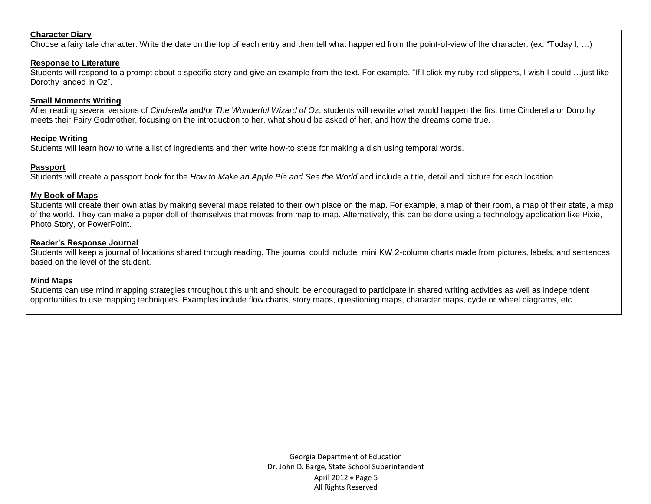#### **Character Diary**

Choose a fairy tale character. Write the date on the top of each entry and then tell what happened from the point-of-view of the character. (ex. "Today I, …)

#### **Response to Literature**

Students will respond to a prompt about a specific story and give an example from the text. For example, "If I click my ruby red slippers, I wish I could …just like Dorothy landed in Oz".

#### **Small Moments Writing**

After reading several versions of *Cinderella* and/or *The Wonderful Wizard of Oz*, students will rewrite what would happen the first time Cinderella or Dorothy meets their Fairy Godmother, focusing on the introduction to her, what should be asked of her, and how the dreams come true.

#### **Recipe Writing**

Students will learn how to write a list of ingredients and then write how-to steps for making a dish using temporal words.

#### **Passport**

Students will create a passport book for the *How to Make an Apple Pie and See the World* and include a title, detail and picture for each location.

#### **My Book of Maps**

Students will create their own atlas by making several maps related to their own place on the map. For example, a map of their room, a map of their state, a map of the world. They can make a paper doll of themselves that moves from map to map. Alternatively, this can be done using a technology application like Pixie, Photo Story, or PowerPoint.

#### **Reader's Response Journal**

Students will keep a journal of locations shared through reading. The journal could include mini KW 2-column charts made from pictures, labels, and sentences based on the level of the student.

### **Mind Maps**

Students can use mind mapping strategies throughout this unit and should be encouraged to participate in shared writing activities as well as independent opportunities to use mapping techniques. Examples include flow charts, story maps, questioning maps, character maps, cycle or wheel diagrams, etc.

> Georgia Department of Education Dr. John D. Barge, State School Superintendent April 2012  $\bullet$  Page 5 All Rights Reserved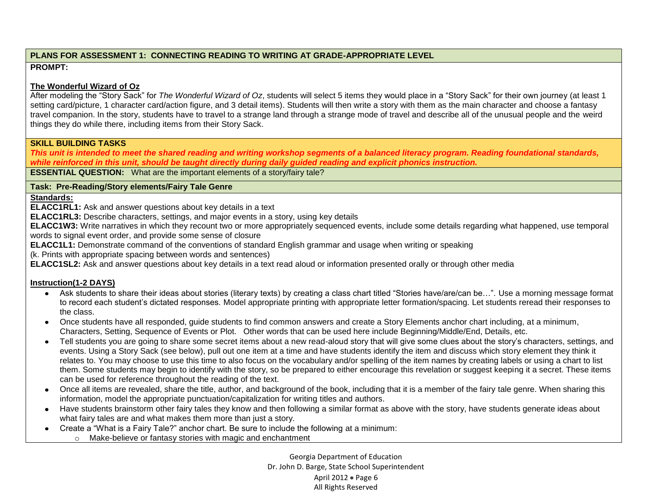## **PLANS FOR ASSESSMENT 1: CONNECTING READING TO WRITING AT GRADE-APPROPRIATE LEVEL PROMPT:**

## **The Wonderful Wizard of Oz**

After modeling the "Story Sack" for *The Wonderful Wizard of Oz*, students will select 5 items they would place in a "Story Sack" for their own journey (at least 1 setting card/picture, 1 character card/action figure, and 3 detail items). Students will then write a story with them as the main character and choose a fantasy travel companion. In the story, students have to travel to a strange land through a strange mode of travel and describe all of the unusual people and the weird things they do while there, including items from their Story Sack.

## **SKILL BUILDING TASKS**

*This unit is intended to meet the shared reading and writing workshop segments of a balanced literacy program. Reading foundational standards, while reinforced in this unit, should be taught directly during daily guided reading and explicit phonics instruction.*

**ESSENTIAL QUESTION:** What are the important elements of a story/fairy tale?

## **Task: Pre-Reading/Story elements/Fairy Tale Genre**

## **Standards:**

**ELACC1RL1:** Ask and answer questions about key details in a text

**ELACC1RL3:** Describe characters, settings, and major events in a story, using key details

**ELACC1W3:** Write narratives in which they recount two or more appropriately sequenced events, include some details regarding what happened, use temporal words to signal event order, and provide some sense of closure

**ELACC1L1:** Demonstrate command of the conventions of standard English grammar and usage when writing or speaking

(k. Prints with appropriate spacing between words and sentences)

**ELACC1SL2:** Ask and answer questions about key details in a text read aloud or information presented orally or through other media

## **Instruction(1-2 DAYS)**

- $\bullet$ Ask students to share their ideas about stories (literary texts) by creating a class chart titled "Stories have/are/can be…". Use a morning message format to record each student's dictated responses. Model appropriate printing with appropriate letter formation/spacing. Let students reread their responses to the class.
- Once students have all responded, guide students to find common answers and create a Story Elements anchor chart including, at a minimum, Characters, Setting, Sequence of Events or Plot. Other words that can be used here include Beginning/Middle/End, Details, etc.
- Tell students you are going to share some secret items about a new read-aloud story that will give some clues about the story's characters, settings, and events. Using a Story Sack (see below), pull out one item at a time and have students identify the item and discuss which story element they think it relates to. You may choose to use this time to also focus on the vocabulary and/or spelling of the item names by creating labels or using a chart to list them. Some students may begin to identify with the story, so be prepared to either encourage this revelation or suggest keeping it a secret. These items can be used for reference throughout the reading of the text.
- Once all items are revealed, share the title, author, and background of the book, including that it is a member of the fairy tale genre. When sharing this information, model the appropriate punctuation/capitalization for writing titles and authors.
- Have students brainstorm other fairy tales they know and then following a similar format as above with the story, have students generate ideas about what fairy tales are and what makes them more than just a story.
- Create a "What is a Fairy Tale?" anchor chart. Be sure to include the following at a minimum:  $\bullet$ o Make-believe or fantasy stories with magic and enchantment

Georgia Department of Education Dr. John D. Barge, State School Superintendent April 2012  $\bullet$  Page 6 All Rights Reserved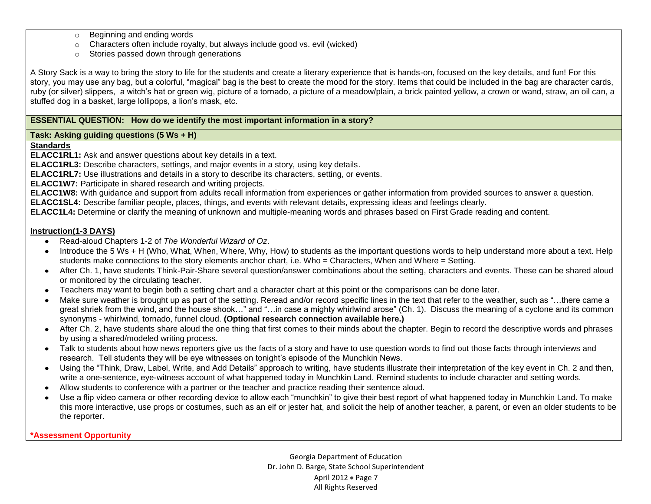- o Beginning and ending words
- o Characters often include royalty, but always include good vs. evil (wicked)
- o Stories passed down through generations

A Story Sack is a way to bring the story to life for the students and create a literary experience that is hands-on, focused on the key details, and fun! For this story, you may use any bag, but a colorful, "magical" bag is the best to create the mood for the story. Items that could be included in the bag are character cards, ruby (or silver) slippers, a witch's hat or green wig, picture of a tornado, a picture of a meadow/plain, a brick painted yellow, a crown or wand, straw, an oil can, a stuffed dog in a basket, large lollipops, a lion's mask, etc.

### **ESSENTIAL QUESTION: How do we identify the most important information in a story?**

### **Task: Asking guiding questions (5 Ws + H)**

### **Standards**

**ELACC1RL1:** Ask and answer questions about key details in a text.

**ELACC1RL3:** Describe characters, settings, and major events in a story, using key details.

**ELACC1RL7:** Use illustrations and details in a story to describe its characters, setting, or events.

**ELACC1W7:** Participate in shared research and writing projects.

**ELACC1W8:** With guidance and support from adults recall information from experiences or gather information from provided sources to answer a question.

**ELACC1SL4:** Describe familiar people, places, things, and events with relevant details, expressing ideas and feelings clearly.

**ELACC1L4:** Determine or clarify the meaning of unknown and multiple-meaning words and phrases based on First Grade reading and content.

### **Instruction(1-3 DAYS)**

- Read-aloud Chapters 1-2 of *The Wonderful Wizard of Oz*.
- Introduce the 5 Ws + H (Who, What, When, Where, Why, How) to students as the important questions words to help understand more about a text. Help students make connections to the story elements anchor chart, i.e. Who = Characters, When and Where = Setting.
- After Ch. 1, have students Think-Pair-Share several question/answer combinations about the setting, characters and events. These can be shared aloud or monitored by the circulating teacher.
- Teachers may want to begin both a setting chart and a character chart at this point or the comparisons can be done later.
- Make sure weather is brought up as part of the setting. Reread and/or record specific lines in the text that refer to the weather, such as "…there came a great shriek from the wind, and the house shook…" and "…in case a mighty whirlwind arose" (Ch. 1). Discuss the meaning of a cyclone and its common synonyms - whirlwind, tornado, funnel cloud. **(Optional research connection available here.)**
- After Ch. 2, have students share aloud the one thing that first comes to their minds about the chapter. Begin to record the descriptive words and phrases by using a shared/modeled writing process.
- Talk to students about how news reporters give us the facts of a story and have to use question words to find out those facts through interviews and research. Tell students they will be eye witnesses on tonight's episode of the Munchkin News.
- Using the "Think, Draw, Label, Write, and Add Details" approach to writing, have students illustrate their interpretation of the key event in Ch. 2 and then, write a one-sentence, eye-witness account of what happened today in Munchkin Land. Remind students to include character and setting words.
- Allow students to conference with a partner or the teacher and practice reading their sentence aloud.
- Use a flip video camera or other recording device to allow each "munchkin" to give their best report of what happened today in Munchkin Land. To make this more interactive, use props or costumes, such as an elf or jester hat, and solicit the help of another teacher, a parent, or even an older students to be the reporter.

### **\*Assessment Opportunity**

Georgia Department of Education Dr. John D. Barge, State School Superintendent April 2012 . Page 7 All Rights Reserved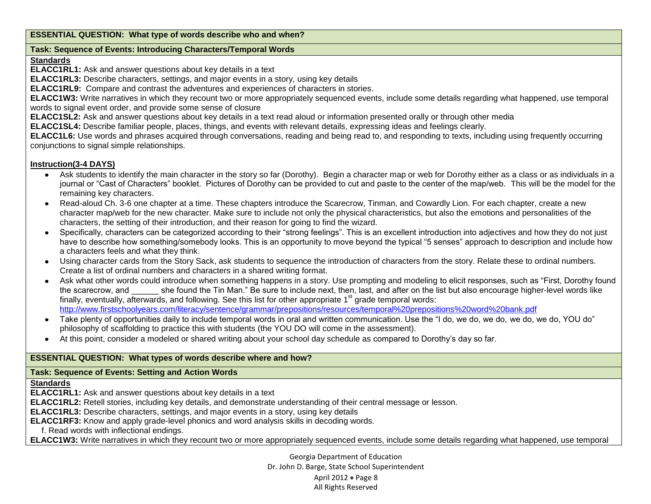### **ESSENTIAL QUESTION: What type of words describe who and when?**

### **Task: Sequence of Events: Introducing Characters/Temporal Words**

## **Standards**

**ELACC1RL1:** Ask and answer questions about key details in a text

**ELACC1RL3:** Describe characters, settings, and major events in a story, using key details

**ELACC1RL9:** Compare and contrast the adventures and experiences of characters in stories.

**ELACC1W3:** Write narratives in which they recount two or more appropriately sequenced events, include some details regarding what happened, use temporal words to signal event order, and provide some sense of closure

**ELACC1SL2:** Ask and answer questions about key details in a text read aloud or information presented orally or through other media

**ELACC1SL4:** Describe familiar people, places, things, and events with relevant details, expressing ideas and feelings clearly.

**ELACC1L6:** Use words and phrases acquired through conversations, reading and being read to, and responding to texts, including using frequently occurring conjunctions to signal simple relationships.

## **Instruction(3-4 DAYS)**

- Ask students to identify the main character in the story so far (Dorothy). Begin a character map or web for Dorothy either as a class or as individuals in a journal or "Cast of Characters" booklet. Pictures of Dorothy can be provided to cut and paste to the center of the map/web. This will be the model for the remaining key characters.
- Read-aloud Ch. 3-6 one chapter at a time. These chapters introduce the Scarecrow, Tinman, and Cowardly Lion. For each chapter, create a new character map/web for the new character. Make sure to include not only the physical characteristics, but also the emotions and personalities of the characters, the setting of their introduction, and their reason for going to find the wizard.
- Specifically, characters can be categorized according to their "strong feelings". This is an excellent introduction into adjectives and how they do not just have to describe how something/somebody looks. This is an opportunity to move beyond the typical "5 senses" approach to description and include how a characters feels and what they think.
- Using character cards from the Story Sack, ask students to sequence the introduction of characters from the story. Relate these to ordinal numbers. Create a list of ordinal numbers and characters in a shared writing format.
- Ask what other words could introduce when something happens in a story. Use prompting and modeling to elicit responses, such as "First, Dorothy found the scarecrow, and she found the Tin Man." Be sure to include next, then, last, and after on the list but also encourage higher-level words like finally, eventually, afterwards, and following. See this list for other appropriate  $1<sup>st</sup>$  grade temporal words: <http://www.firstschoolyears.com/literacy/sentence/grammar/prepositions/resources/temporal%20prepositions%20word%20bank.pdf>
- Take plenty of opportunities daily to include temporal words in oral and written communication. Use the "I do, we do, we do, we do, we do, YOU do" philosophy of scaffolding to practice this with students (the YOU DO will come in the assessment).
- At this point, consider a modeled or shared writing about your school day schedule as compared to Dorothy's day so far.

## **ESSENTIAL QUESTION: What types of words describe where and how?**

### **Task: Sequence of Events: Setting and Action Words**

### **Standards**

**ELACC1RL1:** Ask and answer questions about key details in a text

**ELACC1RL2:** Retell stories, including key details, and demonstrate understanding of their central message or lesson.

**ELACC1RL3:** Describe characters, settings, and major events in a story, using key details

**ELACC1RF3:** Know and apply grade-level phonics and word analysis skills in decoding words.

f. Read words with inflectional endings.

**ELACC1W3:** Write narratives in which they recount two or more appropriately sequenced events, include some details regarding what happened, use temporal

Georgia Department of Education Dr. John D. Barge, State School Superintendent April 2012  $\bullet$  Page 8 All Rights Reserved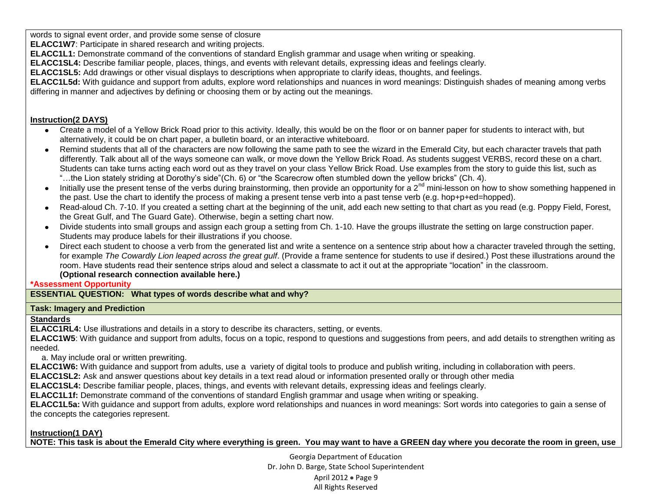words to signal event order, and provide some sense of closure

**ELACC1W7**: Participate in shared research and writing projects.

**ELACC1L1:** Demonstrate command of the conventions of standard English grammar and usage when writing or speaking.

**ELACC1SL4:** Describe familiar people, places, things, and events with relevant details, expressing ideas and feelings clearly.

**ELACC1SL5:** Add drawings or other visual displays to descriptions when appropriate to clarify ideas, thoughts, and feelings.

**ELACC1L5d:** With guidance and support from adults, explore word relationships and nuances in word meanings: Distinguish shades of meaning among verbs differing in manner and adjectives by defining or choosing them or by acting out the meanings.

# **Instruction(2 DAYS)**

- Create a model of a Yellow Brick Road prior to this activity. Ideally, this would be on the floor or on banner paper for students to interact with, but alternatively, it could be on chart paper, a bulletin board, or an interactive whiteboard.
- Remind students that all of the characters are now following the same path to see the wizard in the Emerald City, but each character travels that path differently. Talk about all of the ways someone can walk, or move down the Yellow Brick Road. As students suggest VERBS, record these on a chart. Students can take turns acting each word out as they travel on your class Yellow Brick Road. Use examples from the story to guide this list, such as "…the Lion stately striding at Dorothy's side"(Ch. 6) or "the Scarecrow often stumbled down the yellow bricks" (Ch. 4).
- Initially use the present tense of the verbs during brainstorming, then provide an opportunity for a 2<sup>nd</sup> mini-lesson on how to show something happened in the past. Use the chart to identify the process of making a present tense verb into a past tense verb (e.g. hop+p+ed=hopped).
- Read-aloud Ch. 7-10. If you created a setting chart at the beginning of the unit, add each new setting to that chart as you read (e.g. Poppy Field, Forest, the Great Gulf, and The Guard Gate). Otherwise, begin a setting chart now.
- Divide students into small groups and assign each group a setting from Ch. 1-10. Have the groups illustrate the setting on large construction paper. Students may produce labels for their illustrations if you choose.
- Direct each student to choose a verb from the generated list and write a sentence on a sentence strip about how a character traveled through the setting,  $\bullet$ for example *The Cowardly Lion leaped across the great gulf*. (Provide a frame sentence for students to use if desired.) Post these illustrations around the room. Have students read their sentence strips aloud and select a classmate to act it out at the appropriate "location" in the classroom. **(Optional research connection available here.)**

## **\*Assessment Opportunity**

**ESSENTIAL QUESTION: What types of words describe what and why?**

# **Task: Imagery and Prediction**

# **Standards**

**ELACC1RL4:** Use illustrations and details in a story to describe its characters, setting, or events.

**ELACC1W5**: With guidance and support from adults, focus on a topic, respond to questions and suggestions from peers, and add details to strengthen writing as needed.

# a. May include oral or written prewriting.

**ELACC1W6:** With guidance and support from adults, use a variety of digital tools to produce and publish writing, including in collaboration with peers.

**ELACC1SL2:** Ask and answer questions about key details in a text read aloud or information presented orally or through other media

**ELACC1SL4:** Describe familiar people, places, things, and events with relevant details, expressing ideas and feelings clearly.

**ELACC1L1f:** Demonstrate command of the conventions of standard English grammar and usage when writing or speaking.

**ELACC1L5a:** With guidance and support from adults, explore word relationships and nuances in word meanings: Sort words into categories to gain a sense of the concepts the categories represent.

# **Instruction(1 DAY)**

**NOTE: This task is about the Emerald City where everything is green. You may want to have a GREEN day where you decorate the room in green, use** 

Georgia Department of Education Dr. John D. Barge, State School Superintendent April 2012  $\bullet$  Page 9 All Rights Reserved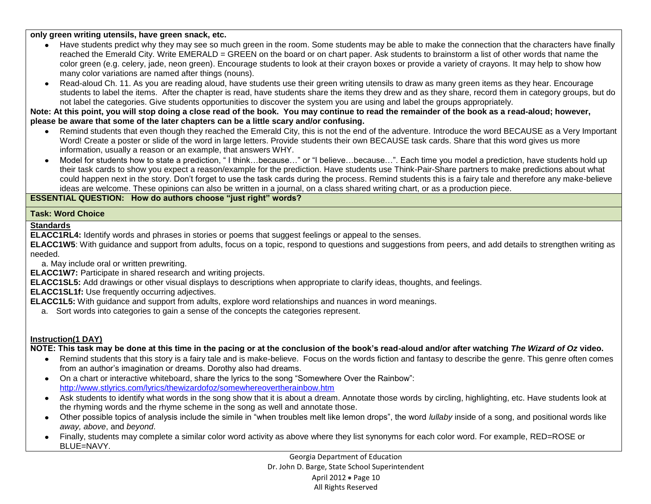**only green writing utensils, have green snack, etc.**

- Have students predict why they may see so much green in the room. Some students may be able to make the connection that the characters have finally reached the Emerald City. Write EMERALD = GREEN on the board or on chart paper. Ask students to brainstorm a list of other words that name the color green (e.g. celery, jade, neon green). Encourage students to look at their crayon boxes or provide a variety of crayons. It may help to show how many color variations are named after things (nouns).
- Read-aloud Ch. 11. As you are reading aloud, have students use their green writing utensils to draw as many green items as they hear. Encourage students to label the items. After the chapter is read, have students share the items they drew and as they share, record them in category groups, but do not label the categories. Give students opportunities to discover the system you are using and label the groups appropriately.

**Note: At this point, you will stop doing a close read of the book. You may continue to read the remainder of the book as a read-aloud; however, please be aware that some of the later chapters can be a little scary and/or confusing.**

- Remind students that even though they reached the Emerald City, this is not the end of the adventure. Introduce the word BECAUSE as a Very Important Word! Create a poster or slide of the word in large letters. Provide students their own BECAUSE task cards. Share that this word gives us more information, usually a reason or an example, that answers WHY.
- Model for students how to state a prediction, " I think…because…" or "I believe…because…". Each time you model a prediction, have students hold up  $\bullet$ their task cards to show you expect a reason/example for the prediction. Have students use Think-Pair-Share partners to make predictions about what could happen next in the story. Don't forget to use the task cards during the process. Remind students this is a fairy tale and therefore any make-believe ideas are welcome. These opinions can also be written in a journal, on a class shared writing chart, or as a production piece.

**ESSENTIAL QUESTION: How do authors choose "just right" words?**

## **Task: Word Choice**

### **Standards**

**ELACC1RL4:** Identify words and phrases in stories or poems that suggest feelings or appeal to the senses.

**ELACC1W5**: With guidance and support from adults, focus on a topic, respond to questions and suggestions from peers, and add details to strengthen writing as needed.

a. May include oral or written prewriting.

**ELACC1W7:** Participate in shared research and writing projects.

**ELACC1SL5:** Add drawings or other visual displays to descriptions when appropriate to clarify ideas, thoughts, and feelings.

**ELACC1SL1f:** Use frequently occurring adjectives.

**ELACC1L5:** With guidance and support from adults, explore word relationships and nuances in word meanings.

a. Sort words into categories to gain a sense of the concepts the categories represent.

## **Instruction(1 DAY)**

**NOTE: This task may be done at this time in the pacing or at the conclusion of the book's read-aloud and/or after watching** *The Wizard of Oz* **video.**

- Remind students that this story is a fairy tale and is make-believe. Focus on the words fiction and fantasy to describe the genre. This genre often comes from an author's imagination or dreams. Dorothy also had dreams.
- On a chart or interactive whiteboard, share the lyrics to the song "Somewhere Over the Rainbow": <http://www.stlyrics.com/lyrics/thewizardofoz/somewhereovertherainbow.htm>
- Ask students to identify what words in the song show that it is about a dream. Annotate those words by circling, highlighting, etc. Have students look at the rhyming words and the rhyme scheme in the song as well and annotate those.
- Other possible topics of analysis include the simile in "when troubles melt like lemon drops", the word *lullaby* inside of a song, and positional words like *away, above*, and *beyond*.
- Finally, students may complete a similar color word activity as above where they list synonyms for each color word. For example, RED=ROSE or  $\bullet$ BLUE=NAVY.

Georgia Department of Education Dr. John D. Barge, State School Superintendent April 2012 • Page 10 All Rights Reserved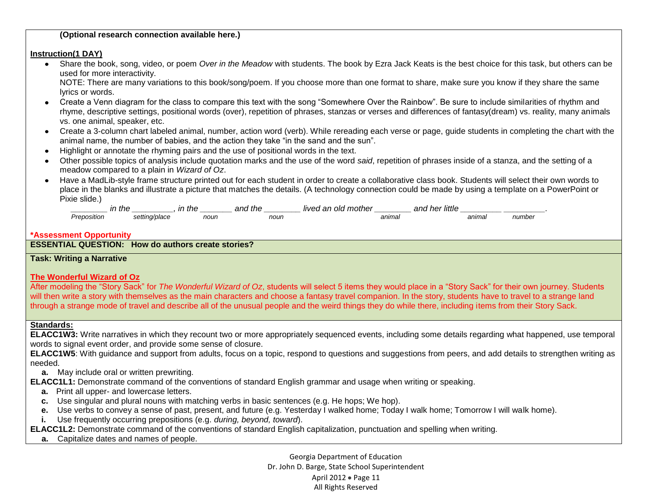### **(Optional research connection available here.)**

#### **Instruction(1 DAY)**

 $\bullet$ Share the book, song, video, or poem *Over in the Meadow* with students. The book by Ezra Jack Keats is the best choice for this task, but others can be used for more interactivity.

NOTE: There are many variations to this book/song/poem. If you choose more than one format to share, make sure you know if they share the same lyrics or words.

- Create a Venn diagram for the class to compare this text with the song "Somewhere Over the Rainbow". Be sure to include similarities of rhythm and rhyme, descriptive settings, positional words (over), repetition of phrases, stanzas or verses and differences of fantasy(dream) vs. reality, many animals vs. one animal, speaker, etc.
- Create a 3-column chart labeled animal, number, action word (verb). While rereading each verse or page, guide students in completing the chart with the animal name, the number of babies, and the action they take "in the sand and the sun".
- Highlight or annotate the rhyming pairs and the use of positional words in the text.  $\bullet$
- Other possible topics of analysis include quotation marks and the use of the word *said*, repetition of phrases inside of a stanza, and the setting of a meadow compared to a plain in *Wizard of Oz*.
- Have a MadLib-style frame structure printed out for each student in order to create a collaborative class book. Students will select their own words to place in the blanks and illustrate a picture that matches the details. (A technology connection could be made by using a template on a PowerPoint or Pixie slide.)

|        |                                                  | ın<br>the<br> | nn,<br>$+b$<br>an<br>,,,, | IIVC<br>,,,, | - -<br>neı<br>anı<br>шие |       |
|--------|--------------------------------------------------|---------------|---------------------------|--------------|--------------------------|-------|
| sıtıor | n <sup>2</sup><br>זדוב<br>つしこ<br>$\cdot$ $\cdot$ | nour          | noun                      | anımal       | animal                   | numbe |

#### **\*Assessment Opportunity**

## **ESSENTIAL QUESTION: How do authors create stories?**

**Task: Writing a Narrative**

### **The Wonderful Wizard of Oz**

After modeling the "Story Sack" for *The Wonderful Wizard of Oz*, students will select 5 items they would place in a "Story Sack" for their own journey. Students will then write a story with themselves as the main characters and choose a fantasy travel companion. In the story, students have to travel to a strange land through a strange mode of travel and describe all of the unusual people and the weird things they do while there, including items from their Story Sack.

### **Standards:**

**ELACC1W3:** Write narratives in which they recount two or more appropriately sequenced events, including some details regarding what happened, use temporal words to signal event order, and provide some sense of closure.

**ELACC1W5**: With guidance and support from adults, focus on a topic, respond to questions and suggestions from peers, and add details to strengthen writing as needed.

 **a.** May include oral or written prewriting.

**ELACC1L1:** Demonstrate command of the conventions of standard English grammar and usage when writing or speaking.

- **a.** Print all upper- and lowercase letters.
- **c.** Use singular and plural nouns with matching verbs in basic sentences (e.g. He hops; We hop).
- **e.** Use verbs to convey a sense of past, present, and future (e.g. Yesterday I walked home; Today I walk home; Tomorrow I will walk home).
- **i.** Use frequently occurring prepositions (e.g. *during, beyond, toward*).
- **ELACC1L2:** Demonstrate command of the conventions of standard English capitalization, punctuation and spelling when writing.
	- **a.** Capitalize dates and names of people.

Georgia Department of Education Dr. John D. Barge, State School Superintendent April 2012 • Page 11 All Rights Reserved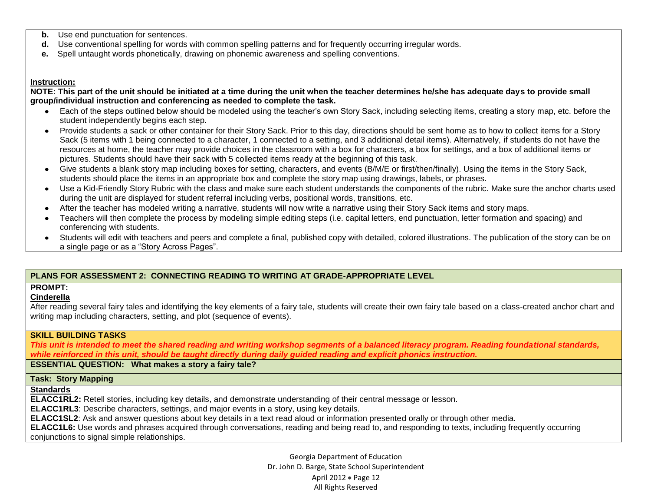- **b.** Use end punctuation for sentences.
- **d.** Use conventional spelling for words with common spelling patterns and for frequently occurring irregular words.
- **e.** Spell untaught words phonetically, drawing on phonemic awareness and spelling conventions.

#### **Instruction:**

**NOTE: This part of the unit should be initiated at a time during the unit when the teacher determines he/she has adequate days to provide small group/individual instruction and conferencing as needed to complete the task.** 

- Each of the steps outlined below should be modeled using the teacher's own Story Sack, including selecting items, creating a story map, etc. before the  $\bullet$ student independently begins each step.
- Provide students a sack or other container for their Story Sack. Prior to this day, directions should be sent home as to how to collect items for a Story Sack (5 items with 1 being connected to a character, 1 connected to a setting, and 3 additional detail items). Alternatively, if students do not have the resources at home, the teacher may provide choices in the classroom with a box for characters, a box for settings, and a box of additional items or pictures. Students should have their sack with 5 collected items ready at the beginning of this task.
- Give students a blank story map including boxes for setting, characters, and events (B/M/E or first/then/finally). Using the items in the Story Sack, students should place the items in an appropriate box and complete the story map using drawings, labels, or phrases.
- Use a Kid-Friendly Story Rubric with the class and make sure each student understands the components of the rubric. Make sure the anchor charts used during the unit are displayed for student referral including verbs, positional words, transitions, etc.
- After the teacher has modeled writing a narrative, students will now write a narrative using their Story Sack items and story maps.
- Teachers will then complete the process by modeling simple editing steps (i.e. capital letters, end punctuation, letter formation and spacing) and conferencing with students.
- Students will edit with teachers and peers and complete a final, published copy with detailed, colored illustrations. The publication of the story can be on a single page or as a "Story Across Pages".

### **PLANS FOR ASSESSMENT 2: CONNECTING READING TO WRITING AT GRADE-APPROPRIATE LEVEL**

### **PROMPT:**

### **Cinderella**

After reading several fairy tales and identifying the key elements of a fairy tale, students will create their own fairy tale based on a class-created anchor chart and writing map including characters, setting, and plot (sequence of events).

### **SKILL BUILDING TASKS**

*This unit is intended to meet the shared reading and writing workshop segments of a balanced literacy program. Reading foundational standards, while reinforced in this unit, should be taught directly during daily guided reading and explicit phonics instruction.*

**ESSENTIAL QUESTION: What makes a story a fairy tale?**

### **Task: Story Mapping**

### **Standards**

**ELACC1RL2:** Retell stories, including key details, and demonstrate understanding of their central message or lesson.

**ELACC1RL3**: Describe characters, settings, and major events in a story, using key details.

**ELACC1SL2**: Ask and answer questions about key details in a text read aloud or information presented orally or through other media.

**ELACC1L6:** Use words and phrases acquired through conversations, reading and being read to, and responding to texts, including frequently occurring conjunctions to signal simple relationships.

> Georgia Department of Education Dr. John D. Barge, State School Superintendent April 2012 • Page 12 All Rights Reserved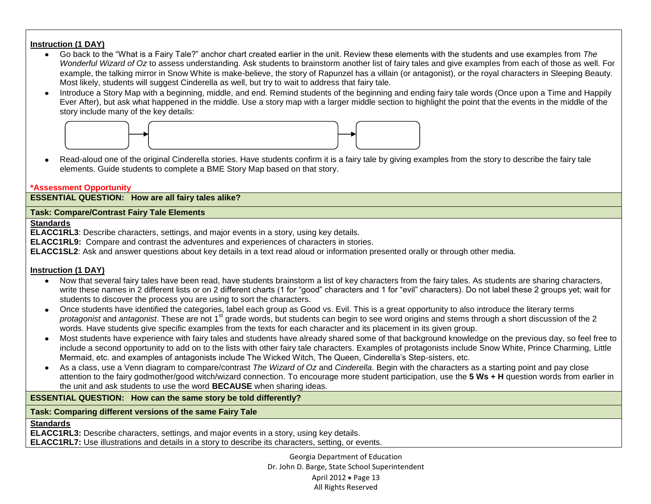## **Instruction (1 DAY)**

- $\bullet$ Go back to the "What is a Fairy Tale?" anchor chart created earlier in the unit. Review these elements with the students and use examples from *The Wonderful Wizard of Oz* to assess understanding. Ask students to brainstorm another list of fairy tales and give examples from each of those as well. For example, the talking mirror in Snow White is make-believe, the story of Rapunzel has a villain (or antagonist), or the royal characters in Sleeping Beauty. Most likely, students will suggest Cinderella as well, but try to wait to address that fairy tale.
- Introduce a Story Map with a beginning, middle, and end. Remind students of the beginning and ending fairy tale words (Once upon a Time and Happily Ever After), but ask what happened in the middle. Use a story map with a larger middle section to highlight the point that the events in the middle of the story include many of the key details:



Read-aloud one of the original Cinderella stories. Have students confirm it is a fairy tale by giving examples from the story to describe the fairy tale  $\bullet$ elements. Guide students to complete a BME Story Map based on that story.

### **\*Assessment Opportunity**

**ESSENTIAL QUESTION: How are all fairy tales alike?**

## **Task: Compare/Contrast Fairy Tale Elements**

### **Standards**

**ELACC1RL3**: Describe characters, settings, and major events in a story, using key details.

**ELACC1RL9:** Compare and contrast the adventures and experiences of characters in stories.

**ELACC1SL2**: Ask and answer questions about key details in a text read aloud or information presented orally or through other media.

### **Instruction (1 DAY)**

- Now that several fairy tales have been read, have students brainstorm a list of key characters from the fairy tales. As students are sharing characters,  $\bullet$ write these names in 2 different lists or on 2 different charts (1 for "good" characters and 1 for "evil" characters). Do not label these 2 groups yet; wait for students to discover the process you are using to sort the characters.
- Once students have identified the categories, label each group as Good vs. Evil. This is a great opportunity to also introduce the literary terms  $\bullet$ *protagonist* and *antagonist*. These are not 1<sup>st</sup> grade words, but students can begin to see word origins and stems through a short discussion of the 2 words. Have students give specific examples from the texts for each character and its placement in its given group.
- Most students have experience with fairy tales and students have already shared some of that background knowledge on the previous day, so feel free to include a second opportunity to add on to the lists with other fairy tale characters. Examples of protagonists include Snow White, Prince Charming, Little Mermaid, etc. and examples of antagonists include The Wicked Witch, The Queen, Cinderella's Step-sisters, etc.
- As a class, use a Venn diagram to compare/contrast *The Wizard of Oz* and *Cinderella*. Begin with the characters as a starting point and pay close attention to the fairy godmother/good witch/wizard connection. To encourage more student participation, use the **5 Ws + H** question words from earlier in the unit and ask students to use the word **BECAUSE** when sharing ideas.

### **ESSENTIAL QUESTION: How can the same story be told differently?**

**Task: Comparing different versions of the same Fairy Tale** 

### **Standards**

**ELACC1RL3:** Describe characters, settings, and major events in a story, using key details. **ELACC1RL7:** Use illustrations and details in a story to describe its characters, setting, or events.

> Georgia Department of Education Dr. John D. Barge, State School Superintendent April 2012 • Page 13 All Rights Reserved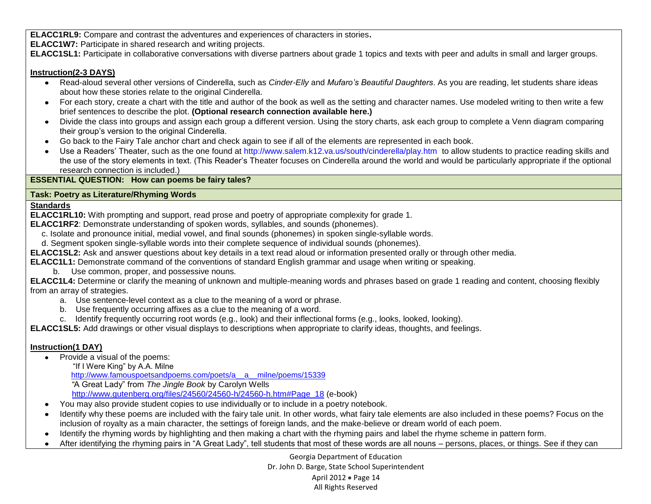**ELACC1RL9:** Compare and contrast the adventures and experiences of characters in stories**.**

**ELACC1W7:** Participate in shared research and writing projects.

**ELACC1SL1:** Participate in collaborative conversations with diverse partners about grade 1 topics and texts with peer and adults in small and larger groups.

### **Instruction(2-3 DAYS)**

- Read-aloud several other versions of Cinderella, such as *Cinder-Elly* and *Mufaro's Beautiful Daughters*. As you are reading, let students share ideas about how these stories relate to the original Cinderella.
- For each story, create a chart with the title and author of the book as well as the setting and character names. Use modeled writing to then write a few brief sentences to describe the plot. **(Optional research connection available here.)**
- Divide the class into groups and assign each group a different version. Using the story charts, ask each group to complete a Venn diagram comparing their group's version to the original Cinderella.
- Go back to the Fairy Tale anchor chart and check again to see if all of the elements are represented in each book.
- Use a Readers' Theater, such as the one found at<http://www.salem.k12.va.us/south/cinderella/play.htm>to allow students to practice reading skills and the use of the story elements in text. (This Reader's Theater focuses on Cinderella around the world and would be particularly appropriate if the optional research connection is included.)

### **ESSENTIAL QUESTION: How can poems be fairy tales?**

### **Task: Poetry as Literature/Rhyming Words**

### **Standards**

**ELACC1RL10:** With prompting and support, read prose and poetry of appropriate complexity for grade 1.

- **ELACC1RF2**: Demonstrate understanding of spoken words, syllables, and sounds (phonemes).
	- c. Isolate and pronounce initial, medial vowel, and final sounds (phonemes) in spoken single-syllable words.
	- d. Segment spoken single-syllable words into their complete sequence of individual sounds (phonemes).
- **ELACC1SL2:** Ask and answer questions about key details in a text read aloud or information presented orally or through other media.
- **ELACC1L1:** Demonstrate command of the conventions of standard English grammar and usage when writing or speaking.
	- b. Use common, proper, and possessive nouns.

**ELACC1L4:** Determine or clarify the meaning of unknown and multiple-meaning words and phrases based on grade 1 reading and content, choosing flexibly from an array of strategies.

- a. Use sentence-level context as a clue to the meaning of a word or phrase.
- b. Use frequently occurring affixes as a clue to the meaning of a word.
- c. Identify frequently occurring root words (e.g., look) and their inflectional forms (e.g., looks, looked, looking).

**ELACC1SL5:** Add drawings or other visual displays to descriptions when appropriate to clarify ideas, thoughts, and feelings.

## **Instruction(1 DAY)**

- Provide a visual of the poems:
	- "If I Were King" by A.A. Milne

[http://www.famouspoetsandpoems.com/poets/a\\_\\_a\\_\\_milne/poems/15339](http://www.famouspoetsandpoems.com/poets/a__a__milne/poems/15339)

 *"*A Great Lady" from *The Jingle Book* by Carolyn Wells

[http://www.gutenberg.org/files/24560/24560-h/24560-h.htm#Page\\_18](http://www.gutenberg.org/files/24560/24560-h/24560-h.htm#Page_18) (e-book)

- You may also provide student copies to use individually or to include in a poetry notebook.
- Identify why these poems are included with the fairy tale unit. In other words, what fairy tale elements are also included in these poems? Focus on the  $\bullet$  . inclusion of royalty as a main character, the settings of foreign lands, and the make-believe or dream world of each poem.
- Identify the rhyming words by highlighting and then making a chart with the rhyming pairs and label the rhyme scheme in pattern form.
- After identifying the rhyming pairs in "A Great Lady", tell students that most of these words are all nouns persons, places, or things. See if they can

Georgia Department of Education Dr. John D. Barge, State School Superintendent April 2012 • Page 14 All Rights Reserved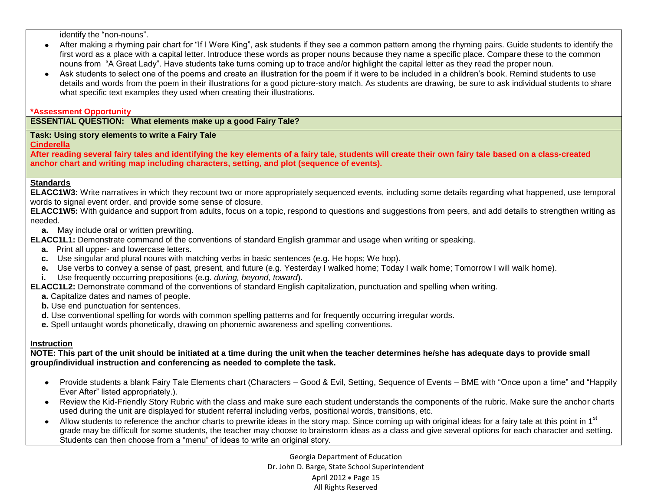identify the "non-nouns".

- After making a rhyming pair chart for "If I Were King", ask students if they see a common pattern among the rhyming pairs. Guide students to identify the first word as a place with a capital letter. Introduce these words as proper nouns because they name a specific place. Compare these to the common nouns from "A Great Lady". Have students take turns coming up to trace and/or highlight the capital letter as they read the proper noun.
- Ask students to select one of the poems and create an illustration for the poem if it were to be included in a children's book. Remind students to use details and words from the poem in their illustrations for a good picture-story match. As students are drawing, be sure to ask individual students to share what specific text examples they used when creating their illustrations.

#### **\*Assessment Opportunity**

**ESSENTIAL QUESTION: What elements make up a good Fairy Tale?**

#### **Task: Using story elements to write a Fairy Tale**

**Cinderella** 

**After reading several fairy tales and identifying the key elements of a fairy tale, students will create their own fairy tale based on a class-created anchor chart and writing map including characters, setting, and plot (sequence of events).**

### **Standards**

**ELACC1W3:** Write narratives in which they recount two or more appropriately sequenced events, including some details regarding what happened, use temporal words to signal event order, and provide some sense of closure.

**ELACC1W5:** With guidance and support from adults, focus on a topic, respond to questions and suggestions from peers, and add details to strengthen writing as needed.

**a.** May include oral or written prewriting.

- **ELACC1L1:** Demonstrate command of the conventions of standard English grammar and usage when writing or speaking.
	- **a.** Print all upper- and lowercase letters.
	- **c.** Use singular and plural nouns with matching verbs in basic sentences (e.g. He hops; We hop).
	- **e.** Use verbs to convey a sense of past, present, and future (e.g. Yesterday I walked home; Today I walk home; Tomorrow I will walk home).
	- **i.** Use frequently occurring prepositions (e.g. *during, beyond, toward*).

**ELACC1L2:** Demonstrate command of the conventions of standard English capitalization, punctuation and spelling when writing.

- **a.** Capitalize dates and names of people.
- **b.** Use end punctuation for sentences.
- **d.** Use conventional spelling for words with common spelling patterns and for frequently occurring irregular words.
- **e.** Spell untaught words phonetically, drawing on phonemic awareness and spelling conventions.

### **Instruction**

**NOTE: This part of the unit should be initiated at a time during the unit when the teacher determines he/she has adequate days to provide small group/individual instruction and conferencing as needed to complete the task.** 

- Provide students a blank Fairy Tale Elements chart (Characters Good & Evil, Setting, Sequence of Events BME with "Once upon a time" and "Happily Ever After" listed appropriately.).
- Review the Kid-Friendly Story Rubric with the class and make sure each student understands the components of the rubric. Make sure the anchor charts  $\bullet$ used during the unit are displayed for student referral including verbs, positional words, transitions, etc.
- Allow students to reference the anchor charts to prewrite ideas in the story map. Since coming up with original ideas for a fairy tale at this point in 1<sup>st</sup> grade may be difficult for some students, the teacher may choose to brainstorm ideas as a class and give several options for each character and setting. Students can then choose from a "menu" of ideas to write an original story.

Georgia Department of Education Dr. John D. Barge, State School Superintendent April 2012 • Page 15 All Rights Reserved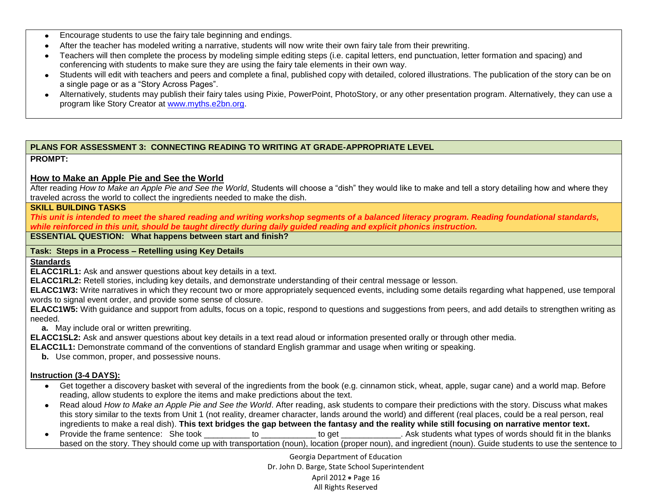- Encourage students to use the fairy tale beginning and endings.
- After the teacher has modeled writing a narrative, students will now write their own fairy tale from their prewriting.
- Teachers will then complete the process by modeling simple editing steps (i.e. capital letters, end punctuation, letter formation and spacing) and conferencing with students to make sure they are using the fairy tale elements in their own way.
- Students will edit with teachers and peers and complete a final, published copy with detailed, colored illustrations. The publication of the story can be on a single page or as a "Story Across Pages".
- Alternatively, students may publish their fairy tales using Pixie, PowerPoint, PhotoStory, or any other presentation program. Alternatively, they can use a program like Story Creator at [www.myths.e2bn.org.](http://www.myths.e2bn.org/)

### **PLANS FOR ASSESSMENT 3: CONNECTING READING TO WRITING AT GRADE-APPROPRIATE LEVEL**

### **PROMPT:**

### **How to Make an Apple Pie and See the World**

After reading *How to Make an Apple Pie and See the World*, Students will choose a "dish" they would like to make and tell a story detailing how and where they traveled across the world to collect the ingredients needed to make the dish.

### **SKILL BUILDING TASKS**

*This unit is intended to meet the shared reading and writing workshop segments of a balanced literacy program. Reading foundational standards, while reinforced in this unit, should be taught directly during daily guided reading and explicit phonics instruction.*

### **ESSENTIAL QUESTION: What happens between start and finish?**

### **Task: Steps in a Process – Retelling using Key Details**

**Standards**

**ELACC1RL1:** Ask and answer questions about key details in a text.

**ELACC1RL2:** Retell stories, including key details, and demonstrate understanding of their central message or lesson.

**ELACC1W3:** Write narratives in which they recount two or more appropriately sequenced events, including some details regarding what happened, use temporal words to signal event order, and provide some sense of closure.

**ELACC1W5:** With guidance and support from adults, focus on a topic, respond to questions and suggestions from peers, and add details to strengthen writing as needed.

 **a.** May include oral or written prewriting.

**ELACC1SL2:** Ask and answer questions about key details in a text read aloud or information presented orally or through other media.

**ELACC1L1:** Demonstrate command of the conventions of standard English grammar and usage when writing or speaking.

**b.** Use common, proper, and possessive nouns.

### **Instruction (3-4 DAYS):**

- Get together a discovery basket with several of the ingredients from the book (e.g. cinnamon stick, wheat, apple, sugar cane) and a world map. Before reading, allow students to explore the items and make predictions about the text.
- Read aloud *How to Make an Apple Pie and See the World*. After reading, ask students to compare their predictions with the story. Discuss what makes this story similar to the texts from Unit 1 (not reality, dreamer character, lands around the world) and different (real places, could be a real person, real ingredients to make a real dish). **This text bridges the gap between the fantasy and the reality while still focusing on narrative mentor text.**
- Provide the frame sentence: She took to to the topet to get a same sentence: She took to get a same sentence is the blanks based on the story. They should come up with transportation (noun), location (proper noun), and ingredient (noun). Guide students to use the sentence to

Georgia Department of Education Dr. John D. Barge, State School Superintendent April 2012 • Page 16 All Rights Reserved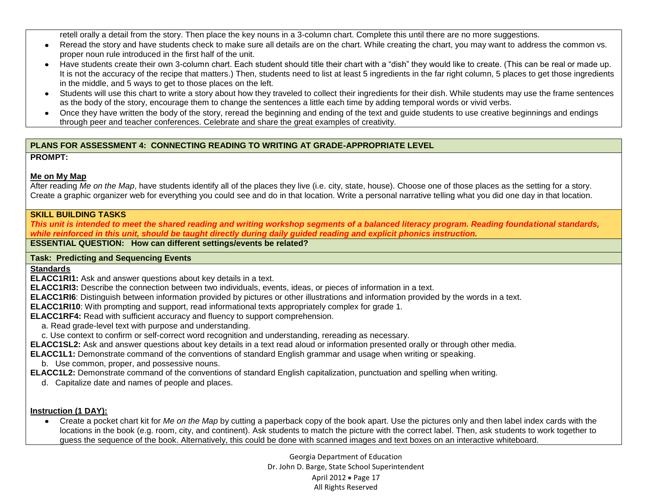retell orally a detail from the story. Then place the key nouns in a 3-column chart. Complete this until there are no more suggestions.

- Reread the story and have students check to make sure all details are on the chart. While creating the chart, you may want to address the common vs.  $\bullet$ proper noun rule introduced in the first half of the unit.
- Have students create their own 3-column chart. Each student should title their chart with a "dish" they would like to create. (This can be real or made up. It is not the accuracy of the recipe that matters.) Then, students need to list at least 5 ingredients in the far right column, 5 places to get those ingredients in the middle, and 5 ways to get to those places on the left.
- Students will use this chart to write a story about how they traveled to collect their ingredients for their dish. While students may use the frame sentences as the body of the story, encourage them to change the sentences a little each time by adding temporal words or vivid verbs.
- Once they have written the body of the story, reread the beginning and ending of the text and guide students to use creative beginnings and endings through peer and teacher conferences. Celebrate and share the great examples of creativity.

## **PLANS FOR ASSESSMENT 4: CONNECTING READING TO WRITING AT GRADE-APPROPRIATE LEVEL**

## **PROMPT:**

# **Me on My Map**

After reading Me on the Map, have students identify all of the places they live (i.e. city, state, house). Choose one of those places as the setting for a story. Create a graphic organizer web for everything you could see and do in that location. Write a personal narrative telling what you did one day in that location.

## **SKILL BUILDING TASKS**

*This unit is intended to meet the shared reading and writing workshop segments of a balanced literacy program. Reading foundational standards, while reinforced in this unit, should be taught directly during daily guided reading and explicit phonics instruction.*

**ESSENTIAL QUESTION: How can different settings/events be related?**

### **Task: Predicting and Sequencing Events**

### **Standards**

**ELACC1RI1:** Ask and answer questions about key details in a text.

**ELACC1RI3:** Describe the connection between two individuals, events, ideas, or pieces of information in a text.

**ELACC1RI6**: Distinguish between information provided by pictures or other illustrations and information provided by the words in a text.

**ELACC1RI10**: With prompting and support, read informational texts appropriately complex for grade 1.

**ELACC1RF4:** Read with sufficient accuracy and fluency to support comprehension.

- a. Read grade-level text with purpose and understanding.
- c. Use context to confirm or self-correct word recognition and understanding, rereading as necessary.
- **ELACC1SL2:** Ask and answer questions about key details in a text read aloud or information presented orally or through other media.

**ELACC1L1:** Demonstrate command of the conventions of standard English grammar and usage when writing or speaking.

b. Use common, proper, and possessive nouns.

**ELACC1L2:** Demonstrate command of the conventions of standard English capitalization, punctuation and spelling when writing.

d. Capitalize date and names of people and places.

## **Instruction (1 DAY):**

Create a pocket chart kit for *Me on the Map* by cutting a paperback copy of the book apart. Use the pictures only and then label index cards with the  $\bullet$ locations in the book (e.g. room, city, and continent). Ask students to match the picture with the correct label. Then, ask students to work together to guess the sequence of the book. Alternatively, this could be done with scanned images and text boxes on an interactive whiteboard.

> Georgia Department of Education Dr. John D. Barge, State School Superintendent April 2012 • Page 17 All Rights Reserved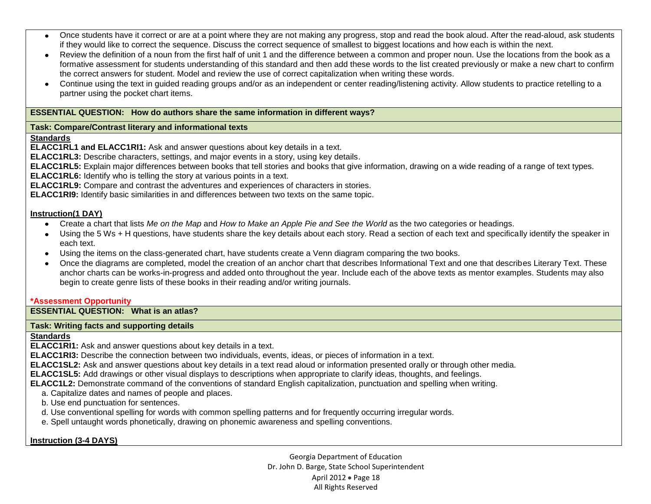- Once students have it correct or are at a point where they are not making any progress, stop and read the book aloud. After the read-aloud, ask students if they would like to correct the sequence. Discuss the correct sequence of smallest to biggest locations and how each is within the next.
- Review the definition of a noun from the first half of unit 1 and the difference between a common and proper noun. Use the locations from the book as a formative assessment for students understanding of this standard and then add these words to the list created previously or make a new chart to confirm the correct answers for student. Model and review the use of correct capitalization when writing these words.
- Continue using the text in guided reading groups and/or as an independent or center reading/listening activity. Allow students to practice retelling to a  $\bullet$ partner using the pocket chart items.

### **ESSENTIAL QUESTION: How do authors share the same information in different ways?**

### **Task: Compare/Contrast literary and informational texts**

### **Standards**

**ELACC1RL1 and ELACC1RI1:** Ask and answer questions about key details in a text.

**ELACC1RL3:** Describe characters, settings, and major events in a story, using key details.

**ELACC1RL5:** Explain major differences between books that tell stories and books that give information, drawing on a wide reading of a range of text types.

**ELACC1RL6:** Identify who is telling the story at various points in a text.

**ELACC1RL9:** Compare and contrast the adventures and experiences of characters in stories.

**ELACC1RI9:** Identify basic similarities in and differences between two texts on the same topic.

### **Instruction(1 DAY)**

- Create a chart that lists *Me on the Map* and *How to Make an Apple Pie and See the World* as the two categories or headings.
- Using the 5 Ws + H questions, have students share the key details about each story. Read a section of each text and specifically identify the speaker in each text.
- Using the items on the class-generated chart, have students create a Venn diagram comparing the two books.
- Once the diagrams are completed, model the creation of an anchor chart that describes Informational Text and one that describes Literary Text. These anchor charts can be works-in-progress and added onto throughout the year. Include each of the above texts as mentor examples. Students may also begin to create genre lists of these books in their reading and/or writing journals.

### **\*Assessment Opportunity**

**ESSENTIAL QUESTION: What is an atlas?**

### **Task: Writing facts and supporting details**

### **Standards**

**ELACC1RI1:** Ask and answer questions about key details in a text.

**ELACC1RI3:** Describe the connection between two individuals, events, ideas, or pieces of information in a text.

**ELACC1SL2:** Ask and answer questions about key details in a text read aloud or information presented orally or through other media.

**ELACC1SL5:** Add drawings or other visual displays to descriptions when appropriate to clarify ideas, thoughts, and feelings.

**ELACC1L2:** Demonstrate command of the conventions of standard English capitalization, punctuation and spelling when writing.

a. Capitalize dates and names of people and places.

b. Use end punctuation for sentences.

d. Use conventional spelling for words with common spelling patterns and for frequently occurring irregular words.

e. Spell untaught words phonetically, drawing on phonemic awareness and spelling conventions.

**Instruction (3-4 DAYS)**

Georgia Department of Education Dr. John D. Barge, State School Superintendent April 2012 • Page 18 All Rights Reserved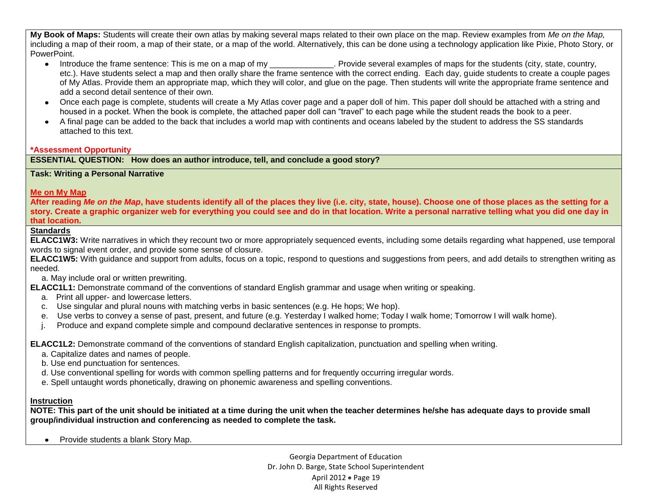**My Book of Maps:** Students will create their own atlas by making several maps related to their own place on the map. Review examples from *Me on the Map,* including a map of their room, a map of their state, or a map of the world. Alternatively, this can be done using a technology application like Pixie, Photo Story, or PowerPoint.

- Introduce the frame sentence: This is me on a map of my examples of maps for the students (city, state, country, etc.). Have students select a map and then orally share the frame sentence with the correct ending. Each day, guide students to create a couple pages of My Atlas. Provide them an appropriate map, which they will color, and glue on the page. Then students will write the appropriate frame sentence and add a second detail sentence of their own.
- Once each page is complete, students will create a My Atlas cover page and a paper doll of him. This paper doll should be attached with a string and housed in a pocket. When the book is complete, the attached paper doll can "travel" to each page while the student reads the book to a peer.
- A final page can be added to the back that includes a world map with continents and oceans labeled by the student to address the SS standards attached to this text.

### **\*Assessment Opportunity**

**ESSENTIAL QUESTION: How does an author introduce, tell, and conclude a good story?**

#### **Task: Writing a Personal Narrative**

### **Me on My Map**

**After reading** *Me on the Map***, have students identify all of the places they live (i.e. city, state, house). Choose one of those places as the setting for a story. Create a graphic organizer web for everything you could see and do in that location. Write a personal narrative telling what you did one day in that location.**

### **Standards**

**ELACC1W3:** Write narratives in which they recount two or more appropriately sequenced events, including some details regarding what happened, use temporal words to signal event order, and provide some sense of closure.

**ELACC1W5:** With guidance and support from adults, focus on a topic, respond to questions and suggestions from peers, and add details to strengthen writing as needed.

a. May include oral or written prewriting.

**ELACC1L1:** Demonstrate command of the conventions of standard English grammar and usage when writing or speaking.

- a. Print all upper- and lowercase letters.
- c. Use singular and plural nouns with matching verbs in basic sentences (e.g. He hops; We hop).
- e. Use verbs to convey a sense of past, present, and future (e.g. Yesterday I walked home; Today I walk home; Tomorrow I will walk home).
- j. Produce and expand complete simple and compound declarative sentences in response to prompts.

**ELACC1L2:** Demonstrate command of the conventions of standard English capitalization, punctuation and spelling when writing.

- a. Capitalize dates and names of people.
- b. Use end punctuation for sentences.
- d. Use conventional spelling for words with common spelling patterns and for frequently occurring irregular words.
- e. Spell untaught words phonetically, drawing on phonemic awareness and spelling conventions.

### **Instruction**

**NOTE: This part of the unit should be initiated at a time during the unit when the teacher determines he/she has adequate days to provide small group/individual instruction and conferencing as needed to complete the task.** 

• Provide students a blank Story Map.

Georgia Department of Education Dr. John D. Barge, State School Superintendent April 2012 · Page 19 All Rights Reserved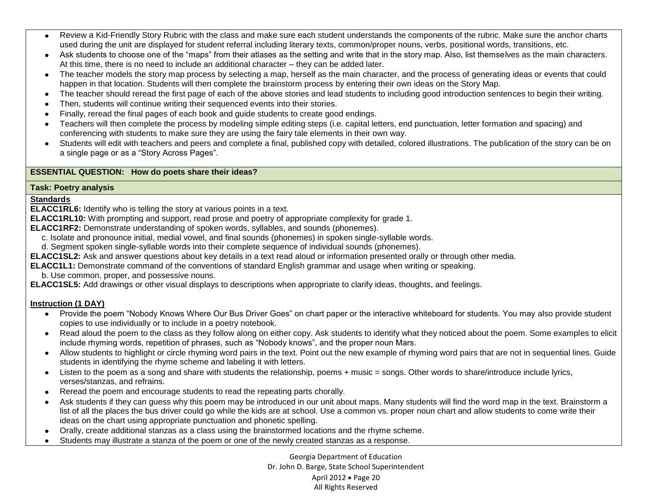- Review a Kid-Friendly Story Rubric with the class and make sure each student understands the components of the rubric. Make sure the anchor charts used during the unit are displayed for student referral including literary texts, common/proper nouns, verbs, positional words, transitions, etc.
- Ask students to choose one of the "maps" from their atlases as the setting and write that in the story map. Also, list themselves as the main characters. At this time, there is no need to include an additional character – they can be added later.
- The teacher models the story map process by selecting a map, herself as the main character, and the process of generating ideas or events that could happen in that location. Students will then complete the brainstorm process by entering their own ideas on the Story Map.
- The teacher should reread the first page of each of the above stories and lead students to including good introduction sentences to begin their writing.
- Then, students will continue writing their sequenced events into their stories.
- Finally, reread the final pages of each book and guide students to create good endings.
- Teachers will then complete the process by modeling simple editing steps (i.e. capital letters, end punctuation, letter formation and spacing) and conferencing with students to make sure they are using the fairy tale elements in their own way.
- Students will edit with teachers and peers and complete a final, published copy with detailed, colored illustrations. The publication of the story can be on a single page or as a "Story Across Pages".

### **ESSENTIAL QUESTION: How do poets share their ideas?**

#### **Task: Poetry analysis**

#### **Standards**

**ELACC1RL6:** Identify who is telling the story at various points in a text.

- **ELACC1RL10:** With prompting and support, read prose and poetry of appropriate complexity for grade 1.
- **ELACC1RF2:** Demonstrate understanding of spoken words, syllables, and sounds (phonemes).
	- c. Isolate and pronounce initial, medial vowel, and final sounds (phonemes) in spoken single-syllable words.
	- d. Segment spoken single-syllable words into their complete sequence of individual sounds (phonemes).
- **ELACC1SL2:** Ask and answer questions about key details in a text read aloud or information presented orally or through other media.
- **ELACC1L1:** Demonstrate command of the conventions of standard English grammar and usage when writing or speaking.
	- b. Use common, proper, and possessive nouns.

**ELACC1SL5:** Add drawings or other visual displays to descriptions when appropriate to clarify ideas, thoughts, and feelings.

### **Instruction (1 DAY)**

- Provide the poem "Nobody Knows Where Our Bus Driver Goes" on chart paper or the interactive whiteboard for students. You may also provide student  $\bullet$ copies to use individually or to include in a poetry notebook.
- Read aloud the poem to the class as they follow along on either copy. Ask students to identify what they noticed about the poem. Some examples to elicit include rhyming words, repetition of phrases, such as "Nobody knows", and the proper noun Mars.
- Allow students to highlight or circle rhyming word pairs in the text. Point out the new example of rhyming word pairs that are not in sequential lines. Guide students in identifying the rhyme scheme and labeling it with letters.
- Listen to the poem as a song and share with students the relationship, poems + music = songs. Other words to share/introduce include lyrics, verses/stanzas, and refrains.
- Reread the poem and encourage students to read the repeating parts chorally.
- Ask students if they can guess why this poem may be introduced in our unit about maps. Many students will find the word map in the text. Brainstorm a list of all the places the bus driver could go while the kids are at school. Use a common vs. proper noun chart and allow students to come write their ideas on the chart using appropriate punctuation and phonetic spelling.
- Orally, create additional stanzas as a class using the brainstormed locations and the rhyme scheme.
- Students may illustrate a stanza of the poem or one of the newly created stanzas as a response. $\bullet$

Georgia Department of Education Dr. John D. Barge, State School Superintendent April 2012 • Page 20 All Rights Reserved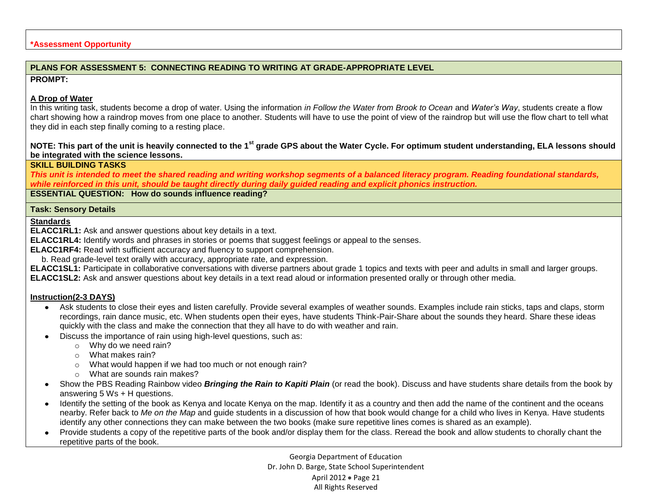### **\*Assessment Opportunity**

### **PLANS FOR ASSESSMENT 5: CONNECTING READING TO WRITING AT GRADE-APPROPRIATE LEVEL**

#### **PROMPT:**

### **A Drop of Water**

In this writing task, students become a drop of water. Using the information *in Follow the Water from Brook to Ocean* and *Water's Way*, students create a flow chart showing how a raindrop moves from one place to another. Students will have to use the point of view of the raindrop but will use the flow chart to tell what they did in each step finally coming to a resting place.

### **NOTE: This part of the unit is heavily connected to the 1st grade GPS about the Water Cycle. For optimum student understanding, ELA lessons should be integrated with the science lessons.**

### **SKILL BUILDING TASKS**

*This unit is intended to meet the shared reading and writing workshop segments of a balanced literacy program. Reading foundational standards, while reinforced in this unit, should be taught directly during daily guided reading and explicit phonics instruction.*

**ESSENTIAL QUESTION: How do sounds influence reading?**

#### **Task: Sensory Details**

**Standards**

**ELACC1RL1:** Ask and answer questions about key details in a text.

**ELACC1RL4:** Identify words and phrases in stories or poems that suggest feelings or appeal to the senses.

**ELACC1RF4:** Read with sufficient accuracy and fluency to support comprehension.

b. Read grade-level text orally with accuracy, appropriate rate, and expression.

**ELACC1SL1:** Participate in collaborative conversations with diverse partners about grade 1 topics and texts with peer and adults in small and larger groups. **ELACC1SL2:** Ask and answer questions about key details in a text read aloud or information presented orally or through other media.

### **Instruction(2-3 DAYS)**

- Ask students to close their eyes and listen carefully. Provide several examples of weather sounds. Examples include rain sticks, taps and claps, storm  $\bullet$ recordings, rain dance music, etc. When students open their eyes, have students Think-Pair-Share about the sounds they heard. Share these ideas quickly with the class and make the connection that they all have to do with weather and rain.
- Discuss the importance of rain using high-level questions, such as:
	- o Why do we need rain?
	- o What makes rain?
	- o What would happen if we had too much or not enough rain?
	- o What are sounds rain makes?
- Show the PBS Reading Rainbow video *Bringing the Rain to Kapiti Plain* (or read the book). Discuss and have students share details from the book by answering 5 Ws + H questions.
- Identify the setting of the book as Kenya and locate Kenya on the map. Identify it as a country and then add the name of the continent and the oceans nearby. Refer back to *Me on the Map* and guide students in a discussion of how that book would change for a child who lives in Kenya. Have students identify any other connections they can make between the two books (make sure repetitive lines comes is shared as an example).
- Provide students a copy of the repetitive parts of the book and/or display them for the class. Reread the book and allow students to chorally chant the repetitive parts of the book.

Georgia Department of Education Dr. John D. Barge, State School Superintendent April 2012 • Page 21 All Rights Reserved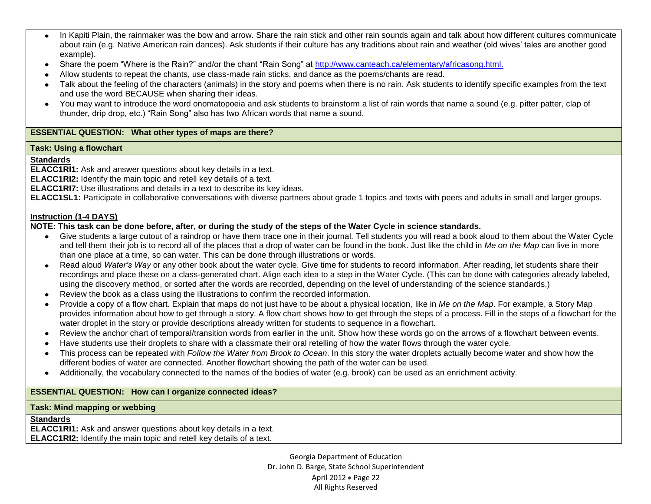- In Kapiti Plain, the rainmaker was the bow and arrow. Share the rain stick and other rain sounds again and talk about how different cultures communicate  $\bullet$ about rain (e.g. Native American rain dances). Ask students if their culture has any traditions about rain and weather (old wives' tales are another good example).
- Share the poem "Where is the Rain?" and/or the chant "Rain Song" at [http://www.canteach.ca/elementary/africasong.html.](http://www.canteach.ca/elementary/africasong.html)  $\bullet$
- Allow students to repeat the chants, use class-made rain sticks, and dance as the poems/chants are read.
- Talk about the feeling of the characters (animals) in the story and poems when there is no rain. Ask students to identify specific examples from the text and use the word BECAUSE when sharing their ideas.
- You may want to introduce the word onomatopoeia and ask students to brainstorm a list of rain words that name a sound (e.g. pitter patter, clap of thunder, drip drop, etc.) "Rain Song" also has two African words that name a sound.

### **ESSENTIAL QUESTION: What other types of maps are there?**

### **Task: Using a flowchart**

### **Standards**

**ELACC1RI1:** Ask and answer questions about key details in a text.

**ELACC1RI2:** Identify the main topic and retell key details of a text.

**ELACC1RI7:** Use illustrations and details in a text to describe its key ideas.

**ELACC1SL1:** Participate in collaborative conversations with diverse partners about grade 1 topics and texts with peers and adults in small and larger groups.

### **Instruction (1-4 DAYS)**

### **NOTE: This task can be done before, after, or during the study of the steps of the Water Cycle in science standards.**

- Give students a large cutout of a raindrop or have them trace one in their journal. Tell students you will read a book aloud to them about the Water Cycle and tell them their job is to record all of the places that a drop of water can be found in the book. Just like the child in *Me on the Map* can live in more than one place at a time, so can water. This can be done through illustrations or words.
- Read aloud *Water's Way* or any other book about the water cycle. Give time for students to record information. After reading, let students share their  $\bullet$ recordings and place these on a class-generated chart. Align each idea to a step in the Water Cycle. (This can be done with categories already labeled, using the discovery method, or sorted after the words are recorded, depending on the level of understanding of the science standards.)
- Review the book as a class using the illustrations to confirm the recorded information.
- Provide a copy of a flow chart. Explain that maps do not just have to be about a physical location, like in *Me on the Map*. For example, a Story Map  $\bullet$ provides information about how to get through a story. A flow chart shows how to get through the steps of a process. Fill in the steps of a flowchart for the water droplet in the story or provide descriptions already written for students to sequence in a flowchart.
- Review the anchor chart of temporal/transition words from earlier in the unit. Show how these words go on the arrows of a flowchart between events.  $\bullet$
- Have students use their droplets to share with a classmate their oral retelling of how the water flows through the water cycle.
- This process can be repeated with *Follow the Water from Brook to Ocean*. In this story the water droplets actually become water and show how the  $\bullet$ different bodies of water are connected. Another flowchart showing the path of the water can be used.
- Additionally, the vocabulary connected to the names of the bodies of water (e.g. brook) can be used as an enrichment activity.  $\bullet$

### **ESSENTIAL QUESTION: How can I organize connected ideas?**

### **Task: Mind mapping or webbing**

### **Standards**

**ELACC1RI1:** Ask and answer questions about key details in a text. **ELACC1RI2:** Identify the main topic and retell key details of a text.

> Georgia Department of Education Dr. John D. Barge, State School Superintendent April 2012 • Page 22 All Rights Reserved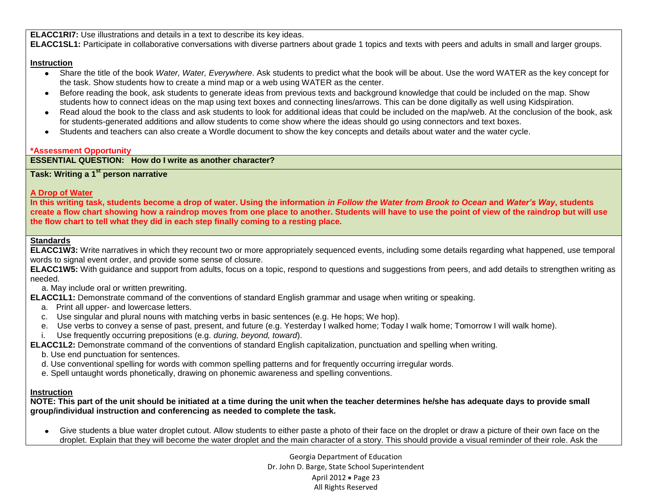**ELACC1RI7:** Use illustrations and details in a text to describe its key ideas.

**ELACC1SL1:** Participate in collaborative conversations with diverse partners about grade 1 topics and texts with peers and adults in small and larger groups.

### **Instruction**

- Share the title of the book *Water, Water, Everywhere*. Ask students to predict what the book will be about. Use the word WATER as the key concept for the task. Show students how to create a mind map or a web using WATER as the center.
- Before reading the book, ask students to generate ideas from previous texts and background knowledge that could be included on the map. Show students how to connect ideas on the map using text boxes and connecting lines/arrows. This can be done digitally as well using Kidspiration.
- Read aloud the book to the class and ask students to look for additional ideas that could be included on the map/web. At the conclusion of the book, ask for students-generated additions and allow students to come show where the ideas should go using connectors and text boxes.
- Students and teachers can also create a Wordle document to show the key concepts and details about water and the water cycle.

### **\*Assessment Opportunity**

## **ESSENTIAL QUESTION: How do I write as another character?**

# **Task: Writing a 1st person narrative**

## **A Drop of Water**

**In this writing task, students become a drop of water. Using the information** *in Follow the Water from Brook to Ocean* **and** *Water's Way***, students create a flow chart showing how a raindrop moves from one place to another. Students will have to use the point of view of the raindrop but will use the flow chart to tell what they did in each step finally coming to a resting place.**

## **Standards**

**ELACC1W3:** Write narratives in which they recount two or more appropriately sequenced events, including some details regarding what happened, use temporal words to signal event order, and provide some sense of closure.

**ELACC1W5:** With guidance and support from adults, focus on a topic, respond to questions and suggestions from peers, and add details to strengthen writing as needed.

a. May include oral or written prewriting.

**ELACC1L1:** Demonstrate command of the conventions of standard English grammar and usage when writing or speaking.

- a. Print all upper- and lowercase letters.
- c. Use singular and plural nouns with matching verbs in basic sentences (e.g. He hops; We hop).
- e. Use verbs to convey a sense of past, present, and future (e.g. Yesterday I walked home; Today I walk home; Tomorrow I will walk home).
- i. Use frequently occurring prepositions (e.g. *during, beyond, toward*).

**ELACC1L2:** Demonstrate command of the conventions of standard English capitalization, punctuation and spelling when writing.

- b. Use end punctuation for sentences.
- d. Use conventional spelling for words with common spelling patterns and for frequently occurring irregular words.
- e. Spell untaught words phonetically, drawing on phonemic awareness and spelling conventions.

### **Instruction**

**NOTE: This part of the unit should be initiated at a time during the unit when the teacher determines he/she has adequate days to provide small group/individual instruction and conferencing as needed to complete the task.** 

Give students a blue water droplet cutout. Allow students to either paste a photo of their face on the droplet or draw a picture of their own face on the droplet. Explain that they will become the water droplet and the main character of a story. This should provide a visual reminder of their role. Ask the

> Georgia Department of Education Dr. John D. Barge, State School Superintendent April 2012 • Page 23 All Rights Reserved